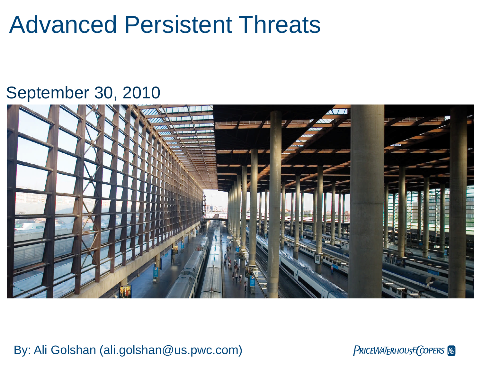# Advanced Persistent Threats

## September 30, 2010



By: Ali Golshan (ali.golshan@us.pwc.com)

PRICEWATERHOUSE COPERS Re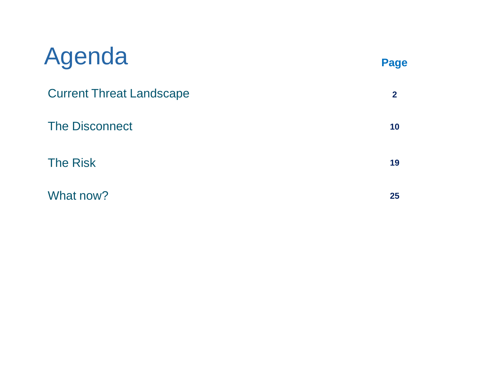| Agenda                          | Page         |
|---------------------------------|--------------|
| <b>Current Threat Landscape</b> | $\mathbf{2}$ |
| <b>The Disconnect</b>           | 10           |
| <b>The Risk</b>                 | 19           |
| What now?                       | 25           |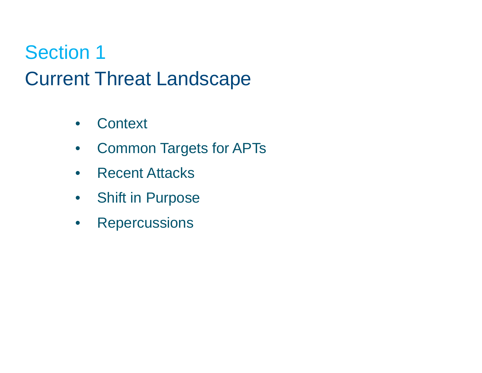# Section 1 Current Threat Landscape

- Context
- Common Targets for APTs
- Recent Attacks
- Shift in Purpose
- Repercussions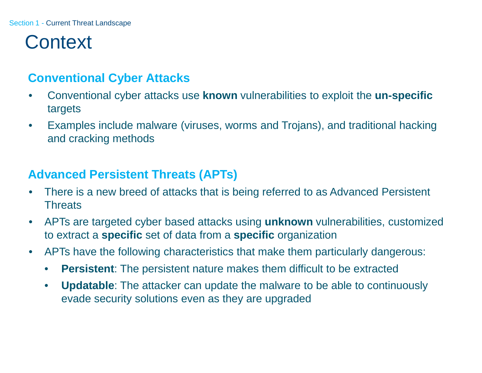## **Context**

## **Conventional Cyber Attacks**

- Conventional cyber attacks use **known** vulnerabilities to exploit the **un-specific** targets
- Examples include malware (viruses, worms and Trojans), and traditional hacking and cracking methods

## **Advanced Persistent Threats (APTs)**

- There is a new breed of attacks that is being referred to as Advanced Persistent **Threats**
- APTs are targeted cyber based attacks using **unknown** vulnerabilities, customized to extract a **specific** set of data from a **specific** organization
- APTs have the following characteristics that make them particularly dangerous:
	- **Persistent**: The persistent nature makes them difficult to be extracted
	- **Updatable**: The attacker can update the malware to be able to continuously evade security solutions even as they are upgraded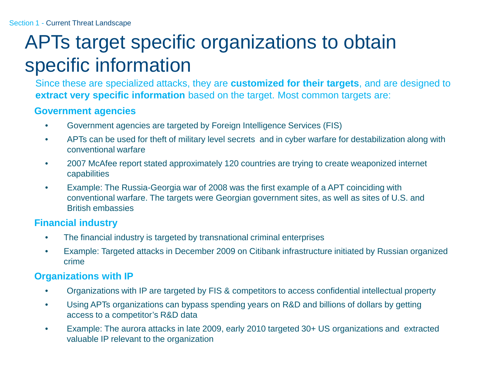# APTs target specific organizations to obtain specific information

Since these are specialized attacks, they are **customized for their targets**, and are designed to **extract very specific information** based on the target. Most common targets are:

### **Government agencies**

- Government agencies are targeted by Foreign Intelligence Services (FIS)
- APTs can be used for theft of military level secrets and in cyber warfare for destabilization along with conventional warfare
- 2007 McAfee report stated approximately 120 countries are trying to create weaponized internet capabilities
- Example: The Russia-Georgia war of 2008 was the first example of a APT coinciding with conventional warfare. The targets were Georgian government sites, as well as sites of U.S. and British embassies

### **Financial industry**

- The financial industry is targeted by transnational criminal enterprises
- Example: Targeted attacks in December 2009 on Citibank infrastructure initiated by Russian organized crime

### **Organizations with IP**

- Organizations with IP are targeted by FIS & competitors to access confidential intellectual property
- Using APTs organizations can bypass spending years on R&D and billions of dollars by getting access to a competitor's R&D data
- Example: The aurora attacks in late 2009, early 2010 targeted 30+ US organizations and extracted valuable IP relevant to the organization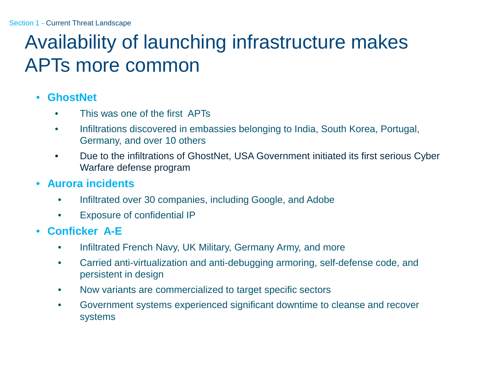# Availability of launching infrastructure makes APTs more common

### • **GhostNet**

- This was one of the first APTs
- Infiltrations discovered in embassies belonging to India, South Korea, Portugal, Germany, and over 10 others
- Due to the infiltrations of GhostNet, USA Government initiated its first serious Cyber Warfare defense program
- **Aurora incidents**
	- Infiltrated over 30 companies, including Google, and Adobe
	- Exposure of confidential IP
- **Conficker A-E**
	- Infiltrated French Navy, UK Military, Germany Army, and more
	- Carried anti-virtualization and anti-debugging armoring, self-defense code, and persistent in design
	- Now variants are commercialized to target specific sectors
	- Government systems experienced significant downtime to cleanse and recover systems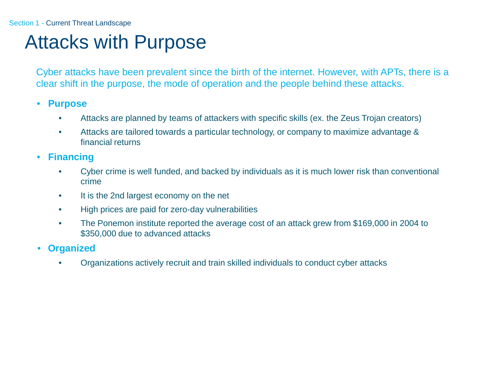#### Section 1 - Current Threat Landscape

## Attacks with Purpose

Cyber attacks have been prevalent since the birth of the internet. However, with APTs, there is a clear shift in the purpose, the mode of operation and the people behind these attacks.

#### • **Purpose**

- Attacks are planned by teams of attackers with specific skills (ex. the Zeus Trojan creators)
- Attacks are tailored towards a particular technology, or company to maximize advantage & financial returns
- **Financing**
	- Cyber crime is well funded, and backed by individuals as it is much lower risk than conventional crime
	- It is the 2nd largest economy on the net
	- High prices are paid for zero-day vulnerabilities
	- The Ponemon institute reported the average cost of an attack grew from \$169,000 in 2004 to \$350,000 due to advanced attacks
- **Organized**
	- Organizations actively recruit and train skilled individuals to conduct cyber attacks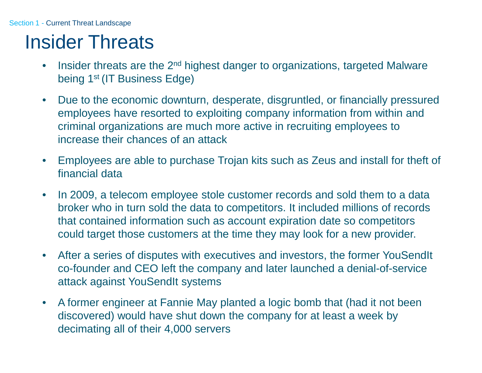## Insider Threats

- Insider threats are the 2<sup>nd</sup> highest danger to organizations, targeted Malware being 1<sup>st</sup> (IT Business Edge)
- Due to the economic downturn, desperate, disgruntled, or financially pressured employees have resorted to exploiting company information from within and criminal organizations are much more active in recruiting employees to increase their chances of an attack
- Employees are able to purchase Trojan kits such as Zeus and install for theft of financial data
- In 2009, a telecom employee stole customer records and sold them to a data broker who in turn sold the data to competitors. It included millions of records that contained information such as account expiration date so competitors could target those customers at the time they may look for a new provider.
- After a series of disputes with executives and investors, the former YouSendIt co-founder and CEO left the company and later launched a denial-of-service attack against YouSendIt systems
- A former engineer at Fannie May planted a logic bomb that (had it not been discovered) would have shut down the company for at least a week by decimating all of their 4,000 servers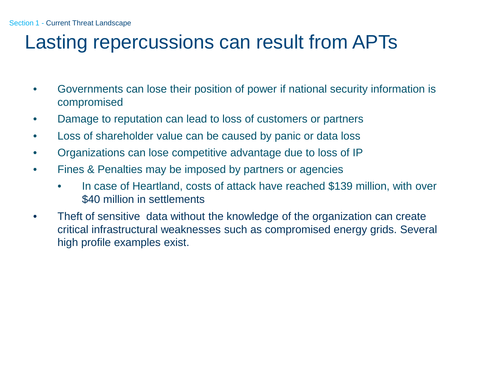## Lasting repercussions can result from APTs

- Governments can lose their position of power if national security information is compromised
- Damage to reputation can lead to loss of customers or partners
- Loss of shareholder value can be caused by panic or data loss
- Organizations can lose competitive advantage due to loss of IP
- Fines & Penalties may be imposed by partners or agencies
	- In case of Heartland, costs of attack have reached \$139 million, with over \$40 million in settlements
- Theft of sensitive data without the knowledge of the organization can create critical infrastructural weaknesses such as compromised energy grids. Several high profile examples exist.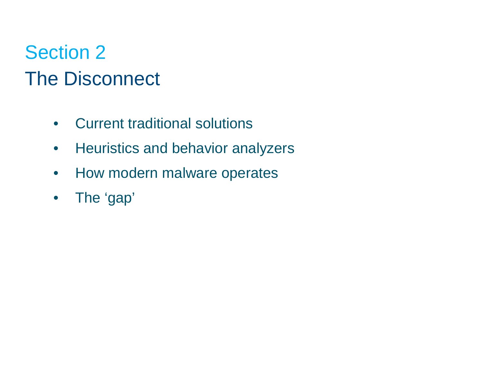# Section 2 The Disconnect

- Current traditional solutions
- Heuristics and behavior analyzers
- How modern malware operates
- The 'gap'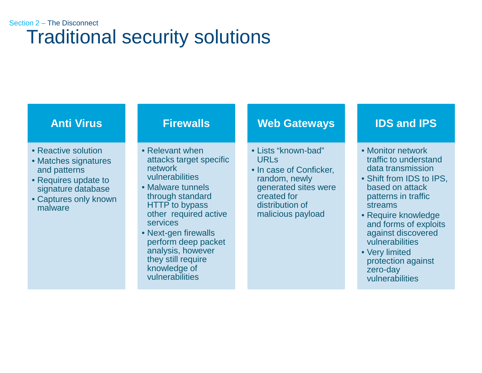## Traditional security solutions Section 2 – The Disconnect

### **Anti Virus**

- Reactive solution
- Matches signatures and patterns
- Requires update to signature database
- Captures only known malware

### **Firewalls**

- Relevant when attacks target specific network vulnerabilities
- Malware tunnels through standard HTTP to bypass other required active services
- Next-gen firewalls perform deep packet analysis, however they still require knowledge of vulnerabilities

### **Web Gateways**

- Lists "known-bad" URLs
- In case of Conficker, random, newly generated sites were created for distribution of malicious payload

### **IDS and IPS**

- Monitor network traffic to understand data transmission
- Shift from IDS to IPS, based on attack patterns in traffic streams
- Require knowledge and forms of exploits against discovered vulnerabilities
- Very limited protection against zero-day vulnerabilities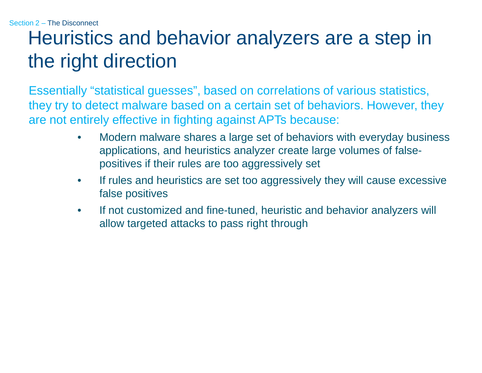# Heuristics and behavior analyzers are a step in the right direction

Essentially "statistical guesses", based on correlations of various statistics, they try to detect malware based on a certain set of behaviors. However, they are not entirely effective in fighting against APTs because:

- Modern malware shares a large set of behaviors with everyday business applications, and heuristics analyzer create large volumes of falsepositives if their rules are too aggressively set
- If rules and heuristics are set too aggressively they will cause excessive false positives
- If not customized and fine-tuned, heuristic and behavior analyzers will allow targeted attacks to pass right through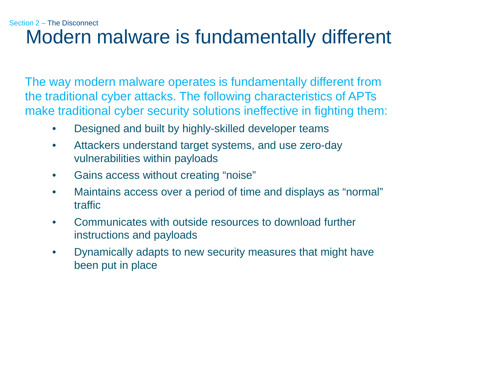### Modern malware is fundamentally different Section 2 – The Disconnect

The way modern malware operates is fundamentally different from the traditional cyber attacks. The following characteristics of APTs make traditional cyber security solutions ineffective in fighting them:

- Designed and built by highly-skilled developer teams
- Attackers understand target systems, and use zero-day vulnerabilities within payloads
- Gains access without creating "noise"
- Maintains access over a period of time and displays as "normal" traffic
- Communicates with outside resources to download further instructions and payloads
- Dynamically adapts to new security measures that might have been put in place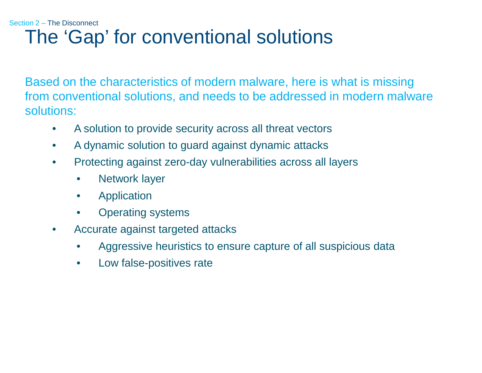## The 'Gap' for conventional solutions Section 2 – The Disconnect

Based on the characteristics of modern malware, here is what is missing from conventional solutions, and needs to be addressed in modern malware solutions:

- A solution to provide security across all threat vectors
- A dynamic solution to guard against dynamic attacks
- Protecting against zero-day vulnerabilities across all layers
	- Network layer
	- Application
	- Operating systems
- Accurate against targeted attacks
	- Aggressive heuristics to ensure capture of all suspicious data
	- Low false-positives rate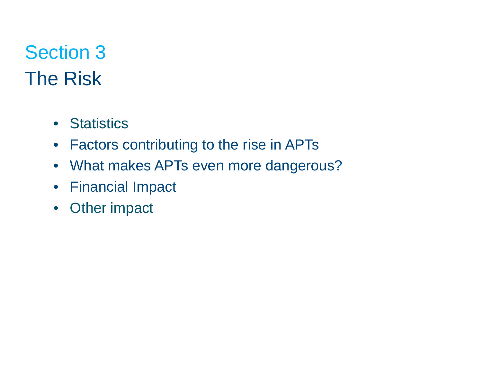# Section 3 The Risk

- Statistics
- Factors contributing to the rise in APTs
- What makes APTs even more dangerous?
- Financial Impact
- Other impact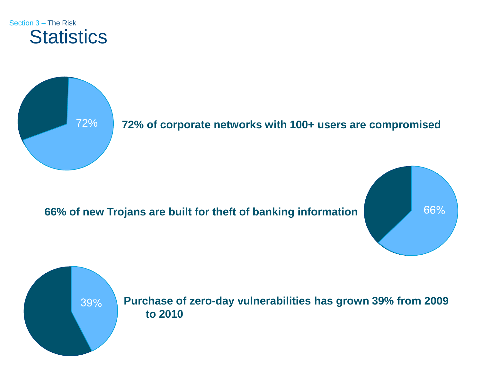



## 72% **72% of corporate networks with 100+ users are compromised**

### **66% of new Trojans are built for theft of banking information**



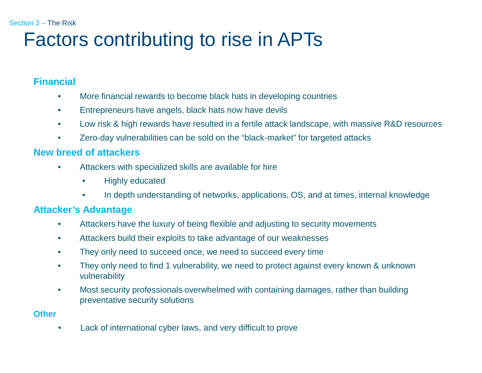## Factors contributing to rise in APTs

#### **Financial**

- More financial rewards to become black hats in developing countries
- Entrepreneurs have angels, black hats now have devils
- Low risk & high rewards have resulted in a fertile attack landscape, with massive R&D resources
- Zero-day vulnerabilities can be sold on the "black-market" for targeted attacks

#### **New breed of attackers**

- Attackers with specialized skills are available for hire
	- Highly educated
	- In depth understanding of networks, applications, OS, and at times, internal knowledge

#### **Attacker's Advantage**

- Attackers have the luxury of being flexible and adjusting to security movements
- Attackers build their exploits to take advantage of our weaknesses
- They only need to succeed once, we need to succeed every time
- They only need to find 1 vulnerability, we need to protect against every known & unknown vulnerability
- Most security professionals overwhelmed with containing damages, rather than building preventative security solutions

#### **Other**

• Lack of international cyber laws, and very difficult to prove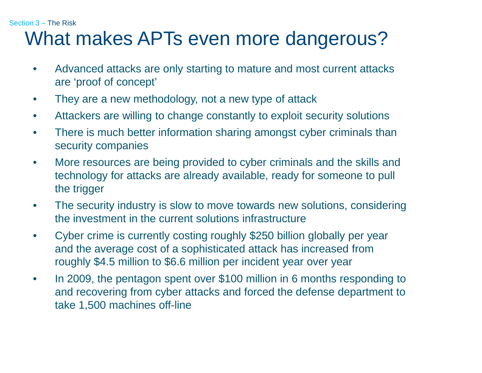## What makes APTs even more dangerous?

- Advanced attacks are only starting to mature and most current attacks are 'proof of concept'
- They are a new methodology, not a new type of attack
- Attackers are willing to change constantly to exploit security solutions
- There is much better information sharing amongst cyber criminals than security companies
- More resources are being provided to cyber criminals and the skills and technology for attacks are already available, ready for someone to pull the trigger
- The security industry is slow to move towards new solutions, considering the investment in the current solutions infrastructure
- Cyber crime is currently costing roughly \$250 billion globally per year and the average cost of a sophisticated attack has increased from roughly \$4.5 million to \$6.6 million per incident year over year
- In 2009, the pentagon spent over \$100 million in 6 months responding to and recovering from cyber attacks and forced the defense department to take 1,500 machines off-line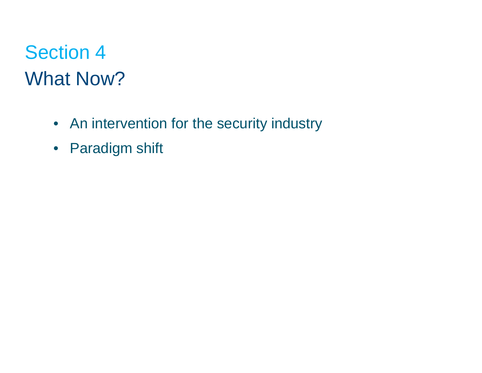# Section 4 What Now?

- An intervention for the security industry
- Paradigm shift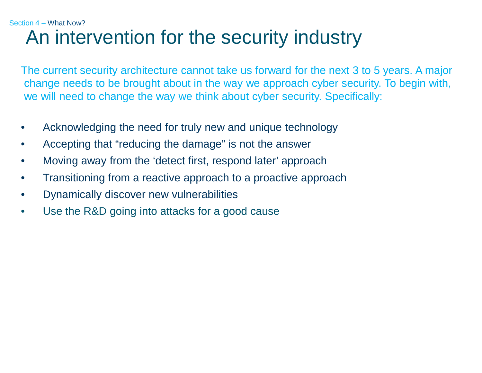## An intervention for the security industry Section 4 – What Now?

The current security architecture cannot take us forward for the next 3 to 5 years. A major change needs to be brought about in the way we approach cyber security. To begin with, we will need to change the way we think about cyber security. Specifically:

- Acknowledging the need for truly new and unique technology
- Accepting that "reducing the damage" is not the answer
- Moving away from the 'detect first, respond later' approach
- Transitioning from a reactive approach to a proactive approach
- Dynamically discover new vulnerabilities
- Use the R&D going into attacks for a good cause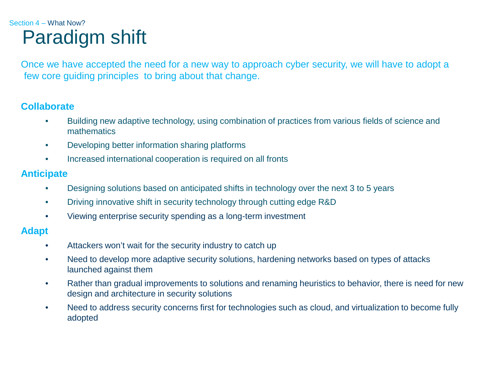## Paradigm shift Section 4 – What Now?

Once we have accepted the need for a new way to approach cyber security, we will have to adopt a few core guiding principles to bring about that change.

### **Collaborate**

- Building new adaptive technology, using combination of practices from various fields of science and mathematics
- Developing better information sharing platforms
- Increased international cooperation is required on all fronts

#### **Anticipate**

- Designing solutions based on anticipated shifts in technology over the next 3 to 5 years
- Driving innovative shift in security technology through cutting edge R&D
- Viewing enterprise security spending as a long-term investment

#### **Adapt**

- Attackers won't wait for the security industry to catch up
- Need to develop more adaptive security solutions, hardening networks based on types of attacks launched against them
- Rather than gradual improvements to solutions and renaming heuristics to behavior, there is need for new design and architecture in security solutions
- Need to address security concerns first for technologies such as cloud, and virtualization to become fully adopted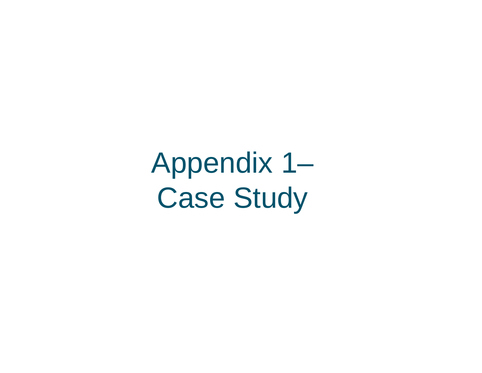Appendix 1– Case Study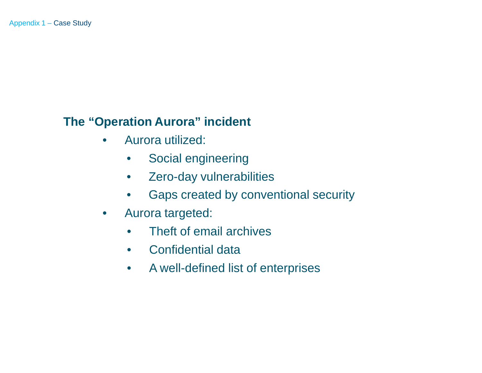- Aurora utilized:
	- Social engineering
	- Zero-day vulnerabilities
	- Gaps created by conventional security
- Aurora targeted:
	- Theft of email archives
	- Confidential data
	- A well-defined list of enterprises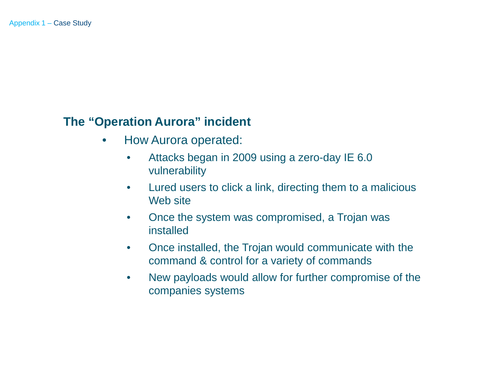- How Aurora operated:
	- Attacks began in 2009 using a zero-day IE 6.0 vulnerability
	- Lured users to click a link, directing them to a malicious Web site
	- Once the system was compromised, a Trojan was installed
	- Once installed, the Trojan would communicate with the command & control for a variety of commands
	- New payloads would allow for further compromise of the companies systems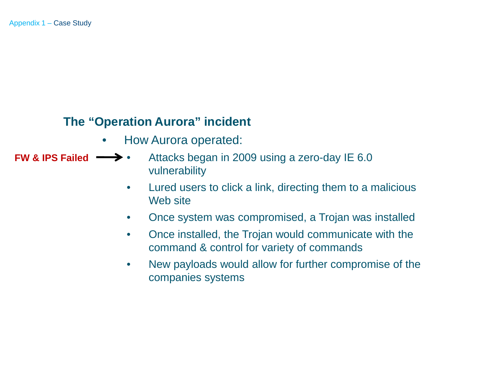- How Aurora operated:
- Attacks began in 2009 using a zero-day IE 6.0 vulnerability **FW & IPS Failed**
	- Lured users to click a link, directing them to a malicious Web site
	- Once system was compromised, a Trojan was installed
	- Once installed, the Trojan would communicate with the command & control for variety of commands
	- New payloads would allow for further compromise of the companies systems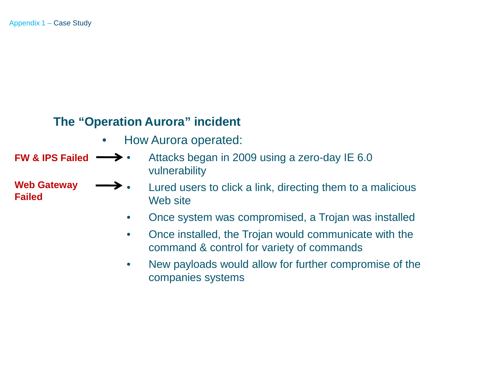**Web Gateway**

**Failed**

- How Aurora operated:
- Attacks began in 2009 using a zero-day IE 6.0 vulnerability **FW & IPS Failed**
	- $\rightarrow$   $\bullet$  Lured users to click a link, directing them to a malicious Web site
		- Once system was compromised, a Trojan was installed
		- Once installed, the Trojan would communicate with the command & control for variety of commands
		- New payloads would allow for further compromise of the companies systems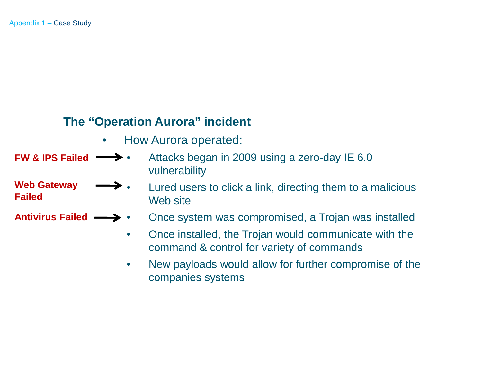**Web Gateway**

**Failed**

- How Aurora operated:
- Attacks began in 2009 using a zero-day IE 6.0 vulnerability **FW & IPS Failed**
	- $\rightarrow$   $\bullet$  Lured users to click a link, directing them to a malicious Web site
- **Antivirus Failed** • Once system was compromised, a Trojan was installed
	- Once installed, the Trojan would communicate with the command & control for variety of commands
	- New payloads would allow for further compromise of the companies systems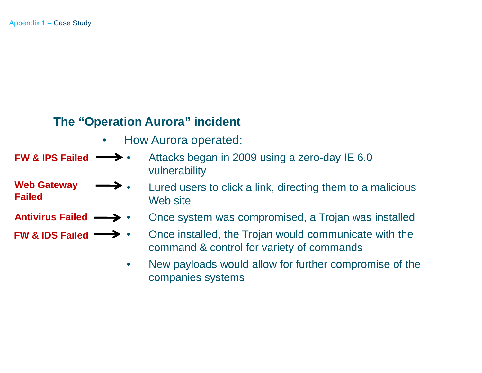**Web Gateway**

**Failed**

- How Aurora operated:
- **FW & IPS Failed** • Attacks began in 2009 using a zero-day IE 6.0 vulnerability
	- $\rightarrow$   $\bullet$  Lured users to click a link, directing them to a malicious Web site
- Antivirus Failed **->** • Once system was compromised, a Trojan was installed
- Once installed, the Trojan would communicate with the command & control for variety of commands **FW & IDS Failed**
	- New payloads would allow for further compromise of the companies systems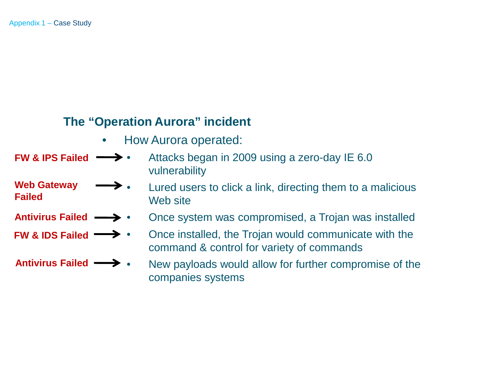- How Aurora operated:
- **FW & IPS Failed** • Attacks began in 2009 using a zero-day IE 6.0 vulnerability
	- $\rightarrow$   $\bullet$  Lured users to click a link, directing them to a malicious Web site
	- Once system was compromised, a Trojan was installed
		- Once installed, the Trojan would communicate with the command & control for variety of commands
		- New payloads would allow for further compromise of the companies systems

- **Web Gateway Failed**
- Antivirus Failed **->**
- **FW & IDS Failed**

Antivirus Failed **•••**